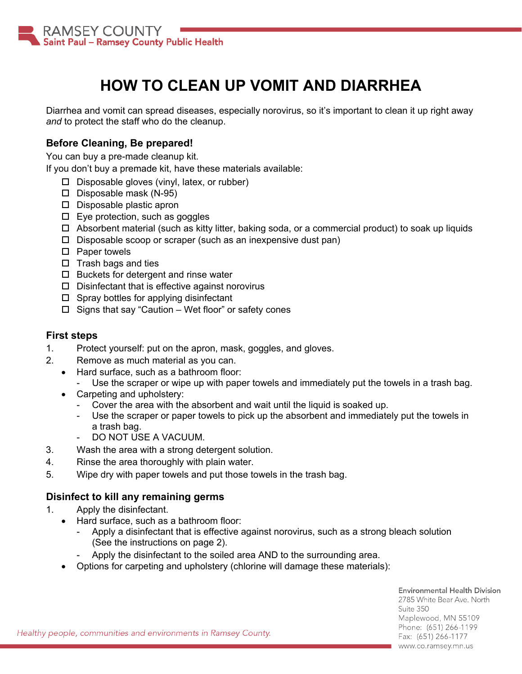

# **HOW TO CLEAN UP VOMIT AND DIARRHEA**

Diarrhea and vomit can spread diseases, especially norovirus, so it's important to clean it up right away *and* to protect the staff who do the cleanup.

### **Before Cleaning, Be prepared!**

You can buy a pre-made cleanup kit.

If you don't buy a premade kit, have these materials available:

- $\square$  Disposable gloves (vinyl, latex, or rubber)
- $\square$  Disposable mask (N-95)
- D Disposable plastic apron
- $\square$  Eye protection, such as goggles
- $\Box$  Absorbent material (such as kitty litter, baking soda, or a commercial product) to soak up liquids
- $\square$  Disposable scoop or scraper (such as an inexpensive dust pan)
- $\square$  Paper towels
- $\square$  Trash bags and ties
- $\Box$  Buckets for detergent and rinse water
- $\square$  Disinfectant that is effective against norovirus
- $\Box$  Spray bottles for applying disinfectant
- $\Box$  Signs that say "Caution Wet floor" or safety cones

#### **First steps**

- 1. Protect yourself: put on the apron, mask, goggles, and gloves.
- 2. Remove as much material as you can.
	- Hard surface, such as a bathroom floor:
		- Use the scraper or wipe up with paper towels and immediately put the towels in a trash bag.
	- Carpeting and upholstery:
		- Cover the area with the absorbent and wait until the liquid is soaked up.
		- Use the scraper or paper towels to pick up the absorbent and immediately put the towels in a trash bag.
		- DO NOT USE A VACUUM.
- 3. Wash the area with a strong detergent solution.
- 4. Rinse the area thoroughly with plain water.
- 5. Wipe dry with paper towels and put those towels in the trash bag.

#### **Disinfect to kill any remaining germs**

- 1. Apply the disinfectant.
	- Hard surface, such as a bathroom floor:
		- Apply a disinfectant that is effective against norovirus, such as a strong bleach solution (See the instructions on page 2).
		- Apply the disinfectant to the soiled area AND to the surrounding area.
	- Options for carpeting and upholstery (chlorine will damage these materials):

Suite 350 Maplewood, MN 55109 Phone: (651) 266-1199 Fax: (651) 266-1177 www.co.ramsey.mn.us

Healthy people, communities and environments in Ramsey County.